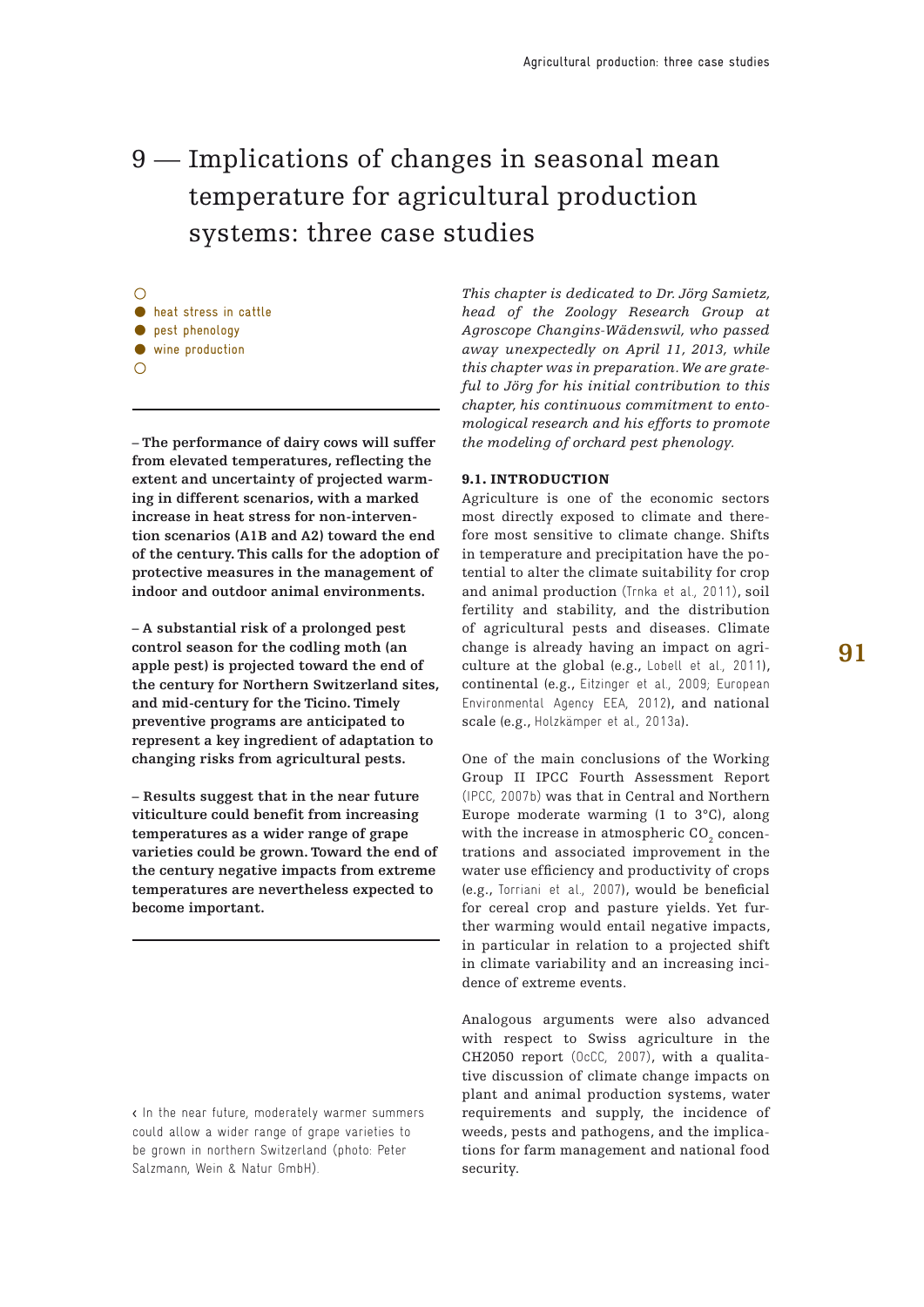# 9 – Implications of changes in seasonal mean temperature for agricultural production systems: three case studies

**•** heat stress in cattle **•** pest phenology • wine production

**– The performance of dairy cows will suffer from elevated temperatures, reflecting the extent and uncertainty of projected warming in different scenarios, with a marked increase in heat stress for non-intervention scenarios (A1B and A2) toward the end of the century. This calls for the adoption of protective measures in the management of indoor and outdoor animal environments.**

**– A substantial risk of a prolonged pest control season for the codling moth (an apple pest) is projected toward the end of the century for Northern Switzerland sites, and mid-century for the Ticino. Timely preventive programs are anticipated to represent a key ingredient of adaptation to changing risks from agricultural pests.**

**– Results suggest that in the near future viticulture could benefit from increasing temperatures as a wider range of grape varieties could be grown. Toward the end of the century negative impacts from extreme temperatures are nevertheless expected to become important.**

< In the near future, moderately warmer summers could allow a wider range of grape varieties to be grown in northern Switzerland (photo: Peter Salzmann, Wein & Natur GmbH).

*This chapter is dedicated to Dr. Jörg Samietz, head of the Zoology Research Group at Agroscope Changins-Wädenswil, who passed away unexpectedly on April 11, 2013, while this chapter was in preparation. We are grateful to Jörg for his initial contribution to this chapter, his continuous commitment to entomological research and his efforts to promote the modeling of orchard pest phenology.*

### 9.1. INTRODUCTION

Agriculture is one of the economic sectors most directly exposed to climate and therefore most sensitive to climate change. Shifts in temperature and precipitation have the potential to alter the climate suitability for crop and animal production (Trnka et al., 2011), soil fertility and stability, and the distribution of agricultural pests and diseases. Climate change is already having an impact on agriculture at the global (e.g., Lobell et al., 2011), continental (e.g., Eitzinger et al., 2009; European Environmental Agency EEA, 2012), and national scale (e.g., Holzkämper et al., 2013a).

One of the main conclusions of the Working Group II IPCC Fourth Assessment Report (IPCC, 2007b) was that in Central and Northern Europe moderate warming (1 to 3°C), along with the increase in atmospheric CO $_{_2}$  concentrations and associated improvement in the water use efficiency and productivity of crops (e.g., Torriani et al., 2007), would be beneficial for cereal crop and pasture yields. Yet further warming would entail negative impacts, in particular in relation to a projected shift in climate variability and an increasing incidence of extreme events.

Analogous arguments were also advanced with respect to Swiss agriculture in the CH2050 report (OcCC, 2007), with a qualitative discussion of climate change impacts on plant and animal production systems, water requirements and supply, the incidence of weeds, pests and pathogens, and the implications for farm management and national food security.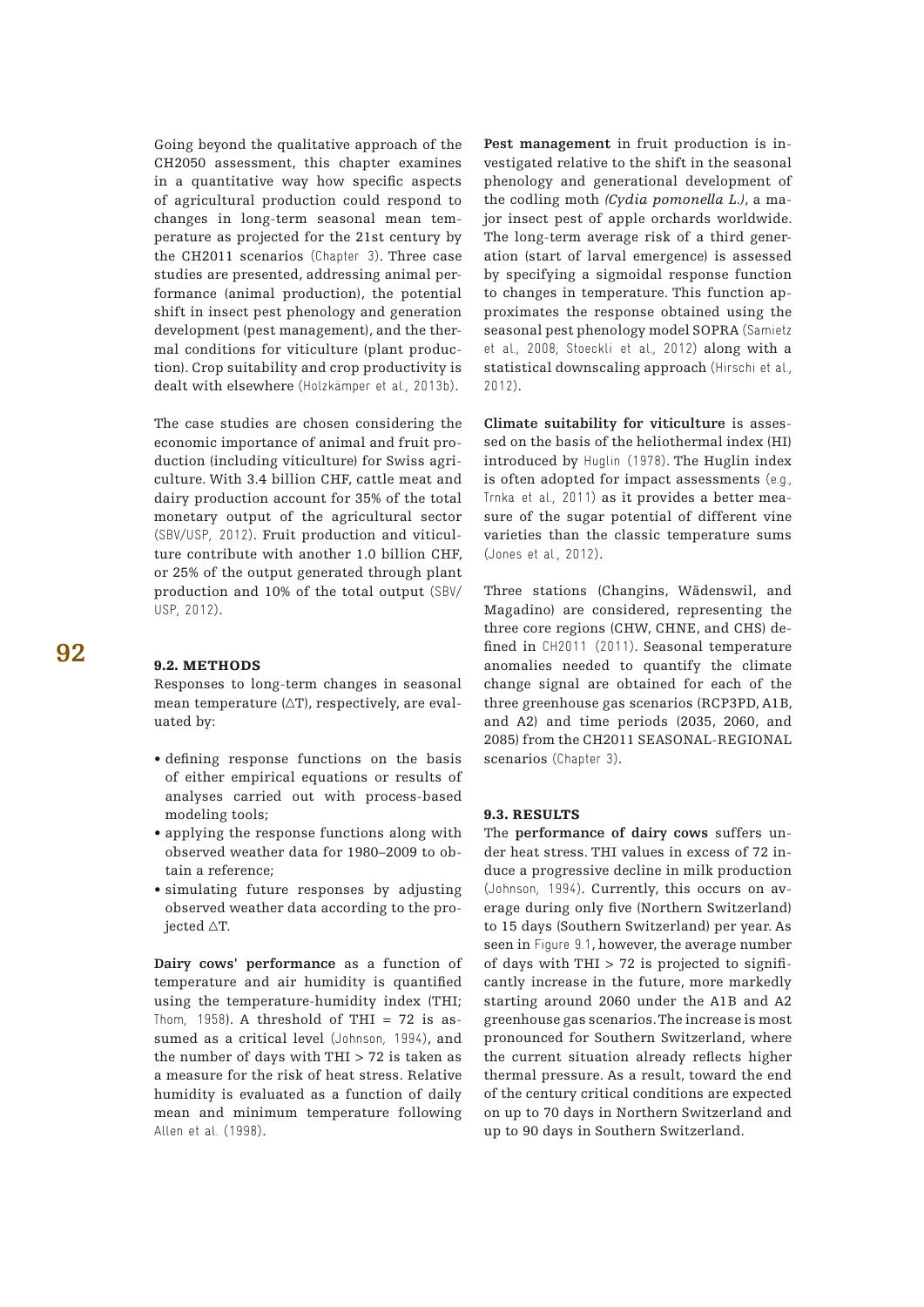Going beyond the qualitative approach of the CH2050 assessment, this chapter examines in a quantitative way how specific aspects of agricultural production could respond to changes in long-term seasonal mean temperature as projected for the 21st century by the CH2011 scenarios (Chapter 3). Three case studies are presented, addressing animal performance (animal production), the potential shift in insect pest phenology and generation development (pest management), and the thermal conditions for viticulture (plant production). Crop suitability and crop productivity is dealt with elsewhere (Holzkämper et al., 2013b).

The case studies are chosen considering the economic importance of animal and fruit production (including viticulture) for Swiss agriculture. With 3.4 billion CHF, cattle meat and dairy production account for 35% of the total monetary output of the agricultural sector (SBV/USP, 2012). Fruit production and viticulture contribute with another 1.0 billion CHF, or 25% of the output generated through plant production and 10% of the total output (SBV/ USP, 2012).

#### 9.2. METHODS

Responses to long-term changes in seasonal mean temperature (∆T), respectively, are evaluated by:

- defining response functions on the basis of either empirical equations or results of analyses carried out with process-based modeling tools;
- applying the response functions along with observed weather data for 1980–2009 to obtain a reference;
- simulating future responses by adjusting observed weather data according to the projected ∆T.

**Dairy cows' performance** as a function of temperature and air humidity is quantified using the temperature-humidity index (THI; Thom, 1958). A threshold of THI = 72 is assumed as a critical level (Johnson, 1994), and the number of days with THI > 72 is taken as a measure for the risk of heat stress. Relative humidity is evaluated as a function of daily mean and minimum temperature following Allen et al. (1998).

**Pest management** in fruit production is investigated relative to the shift in the seasonal phenology and generational development of the codling moth *(Cydia pomonella L.)*, a major insect pest of apple orchards worldwide. The long-term average risk of a third generation (start of larval emergence) is assessed by specifying a sigmoidal response function to changes in temperature. This function approximates the response obtained using the seasonal pest phenology model SOPRA (Samietz et al., 2008; Stoeckli et al., 2012) along with a statistical downscaling approach (Hirschi et al., 2012).

**Climate suitability for viticulture** is assessed on the basis of the heliothermal index (HI) introduced by Huglin (1978). The Huglin index is often adopted for impact assessments (e.g., Trnka et al., 2011) as it provides a better measure of the sugar potential of different vine varieties than the classic temperature sums (Jones et al., 2012).

Three stations (Changins, Wädenswil, and Magadino) are considered, representing the three core regions (CHW, CHNE, and CHS) defined in CH2011 (2011). Seasonal temperature anomalies needed to quantify the climate change signal are obtained for each of the three greenhouse gas scenarios (RCP3PD, A1B, and A2) and time periods (2035, 2060, and 2085) from the CH2011 SEASONAL-REGIONAL scenarios (Chapter 3).

## 9.3. Results

The **performance of dairy cows** suffers under heat stress. THI values in excess of 72 induce a progressive decline in milk production (Johnson, 1994). Currently, this occurs on average during only five (Northern Switzerland) to 15 days (Southern Switzerland) per year. As seen in Figure 9.1, however, the average number of days with THI  $>$  72 is projected to significantly increase in the future, more markedly starting around 2060 under the A1B and A2 greenhouse gas scenarios. The increase is most pronounced for Southern Switzerland, where the current situation already reflects higher thermal pressure. As a result, toward the end of the century critical conditions are expected on up to 70 days in Northern Switzerland and up to 90 days in Southern Switzerland.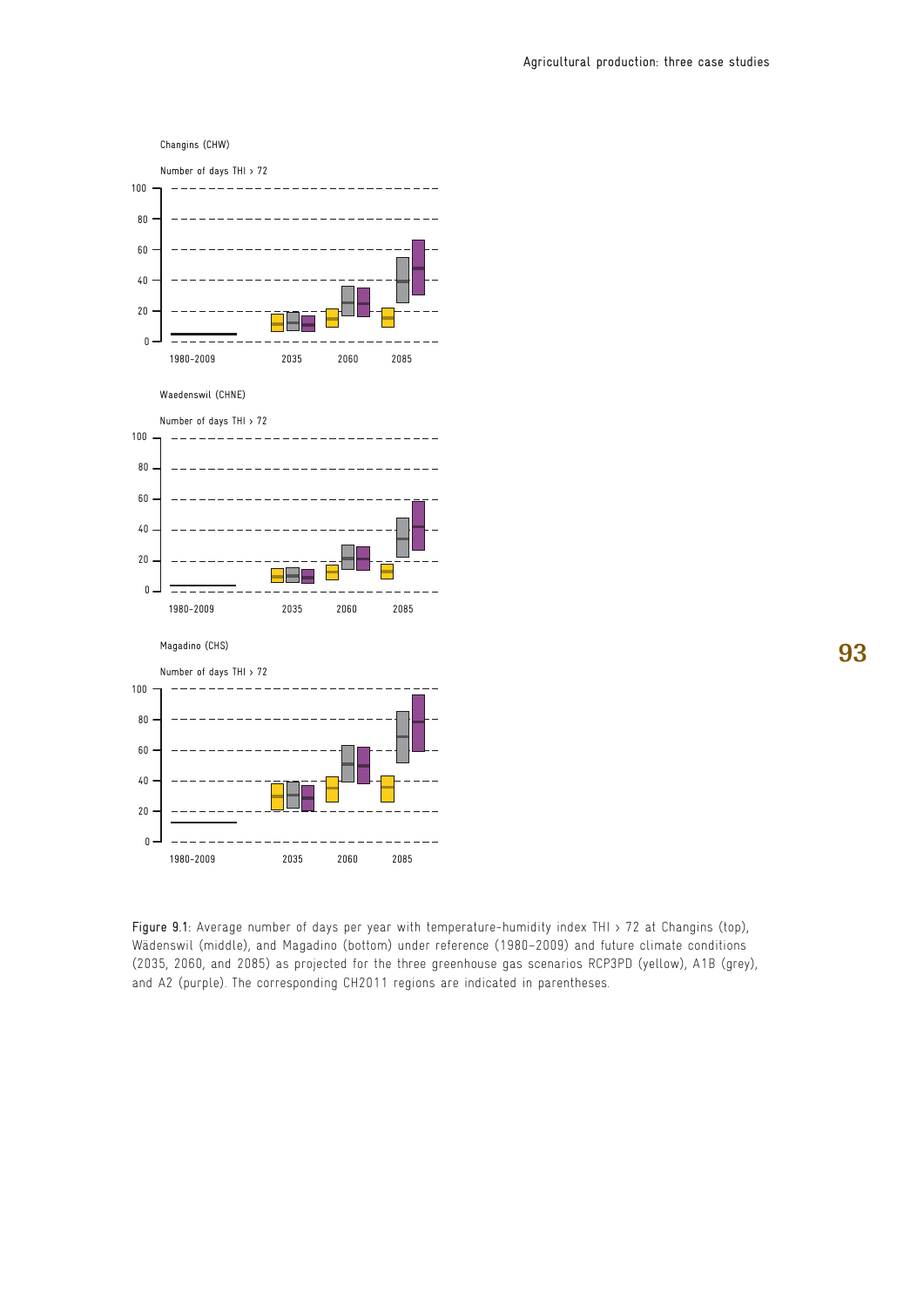



Figure 9.1: Average number of days per year with temperature-humidity index THI > 72 at Changins (top), Wädenswil (middle), and Magadino (bottom) under reference (1980–2009) and future climate conditions (2035, 2060, and 2085) as projected for the three greenhouse gas scenarios RCP3PD (yellow), A1B (grey), and A2 (purple). The corresponding CH2011 regions are indicated in parentheses.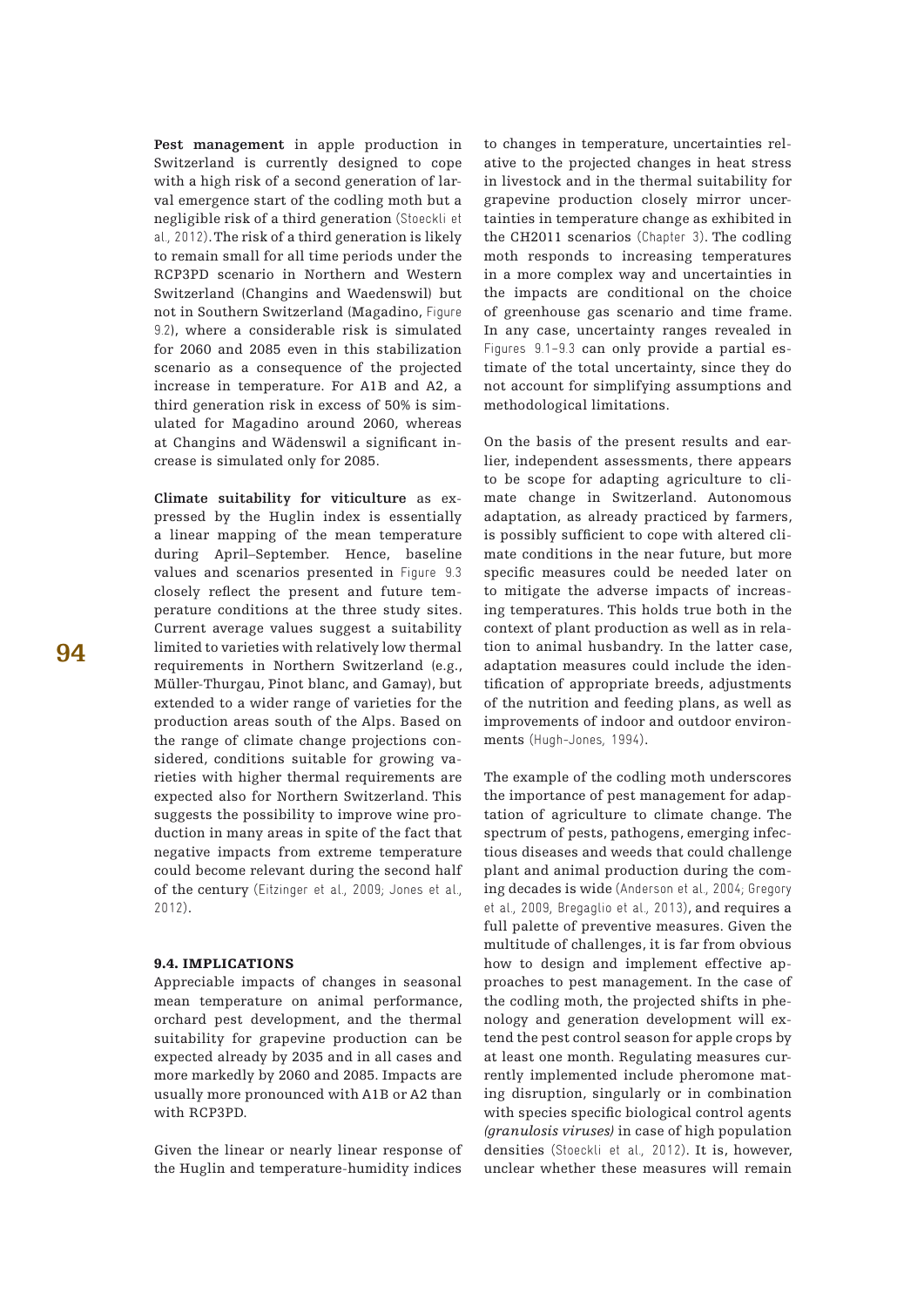**Pest management** in apple production in Switzerland is currently designed to cope with a high risk of a second generation of larval emergence start of the codling moth but a negligible risk of a third generation (Stoeckli et al., 2012). The risk of a third generation is likely to remain small for all time periods under the RCP3PD scenario in Northern and Western Switzerland (Changins and Waedenswil) but not in Southern Switzerland (Magadino, Figure 9.2), where a considerable risk is simulated for 2060 and 2085 even in this stabilization scenario as a consequence of the projected increase in temperature. For A1B and A2, a third generation risk in excess of 50% is simulated for Magadino around 2060, whereas at Changins and Wädenswil a significant increase is simulated only for 2085.

**Climate suitability for viticulture** as expressed by the Huglin index is essentially a linear mapping of the mean temperature during April–September. Hence, baseline values and scenarios presented in Figure 9.3 closely reflect the present and future temperature conditions at the three study sites. Current average values suggest a suitability limited to varieties with relatively low thermal requirements in Northern Switzerland (e.g., Müller-Thurgau, Pinot blanc, and Gamay), but extended to a wider range of varieties for the production areas south of the Alps. Based on the range of climate change projections considered, conditions suitable for growing varieties with higher thermal requirements are expected also for Northern Switzerland. This suggests the possibility to improve wine production in many areas in spite of the fact that negative impacts from extreme temperature could become relevant during the second half of the century (Eitzinger et al., 2009; Jones et al., 2012).

## 9.4. Implications

Appreciable impacts of changes in seasonal mean temperature on animal performance, orchard pest development, and the thermal suitability for grapevine production can be expected already by 2035 and in all cases and more markedly by 2060 and 2085. Impacts are usually more pronounced with A1B or A2 than with RCP3PD.

Given the linear or nearly linear response of the Huglin and temperature-humidity indices to changes in temperature, uncertainties relative to the projected changes in heat stress in livestock and in the thermal suitability for grapevine production closely mirror uncertainties in temperature change as exhibited in the CH2011 scenarios (Chapter 3). The codling moth responds to increasing temperatures in a more complex way and uncertainties in the impacts are conditional on the choice of greenhouse gas scenario and time frame. In any case, uncertainty ranges revealed in Figures 9.1–9.3 can only provide a partial estimate of the total uncertainty, since they do not account for simplifying assumptions and methodological limitations.

On the basis of the present results and earlier, independent assessments, there appears to be scope for adapting agriculture to climate change in Switzerland. Autonomous adaptation, as already practiced by farmers, is possibly sufficient to cope with altered climate conditions in the near future, but more specific measures could be needed later on to mitigate the adverse impacts of increasing temperatures. This holds true both in the context of plant production as well as in relation to animal husbandry. In the latter case, adaptation measures could include the identification of appropriate breeds, adjustments of the nutrition and feeding plans, as well as improvements of indoor and outdoor environments (Hugh-Jones, 1994).

The example of the codling moth underscores the importance of pest management for adaptation of agriculture to climate change. The spectrum of pests, pathogens, emerging infectious diseases and weeds that could challenge plant and animal production during the coming decades is wide (Anderson et al., 2004; Gregory et al., 2009, Bregaglio et al., 2013), and requires a full palette of preventive measures. Given the multitude of challenges, it is far from obvious how to design and implement effective approaches to pest management. In the case of the codling moth, the projected shifts in phenology and generation development will extend the pest control season for apple crops by at least one month. Regulating measures currently implemented include pheromone mating disruption, singularly or in combination with species specific biological control agents *(granulosis viruses)* in case of high population densities (Stoeckli et al., 2012). It is, however, unclear whether these measures will remain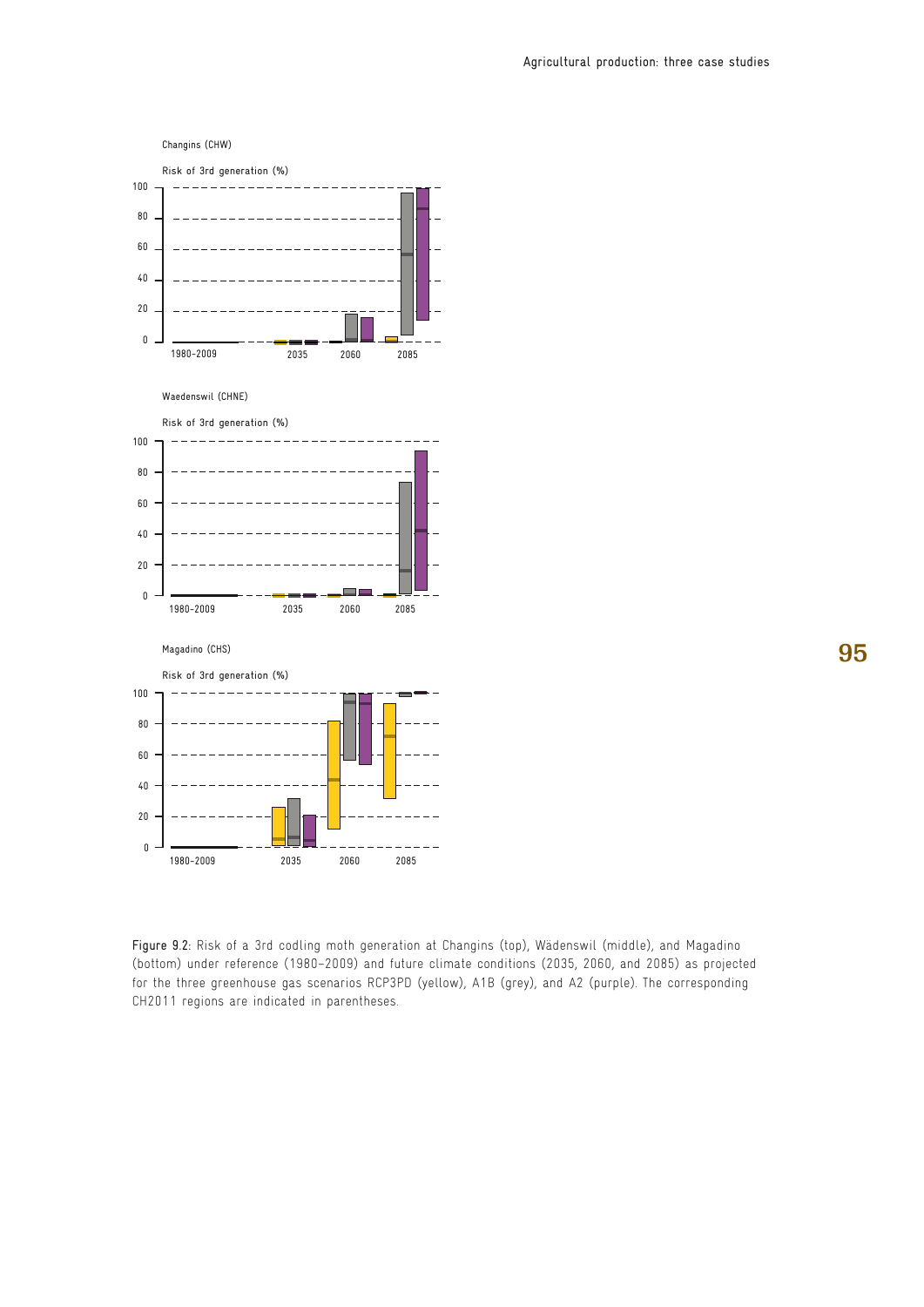

Figure 9.2: Risk of a 3rd codling moth generation at Changins (top), Wädenswil (middle), and Magadino (bottom) under reference (1980–2009) and future climate conditions (2035, 2060, and 2085) as projected for the three greenhouse gas scenarios RCP3PD (yellow), A1B (grey), and A2 (purple). The corresponding CH2011 regions are indicated in parentheses.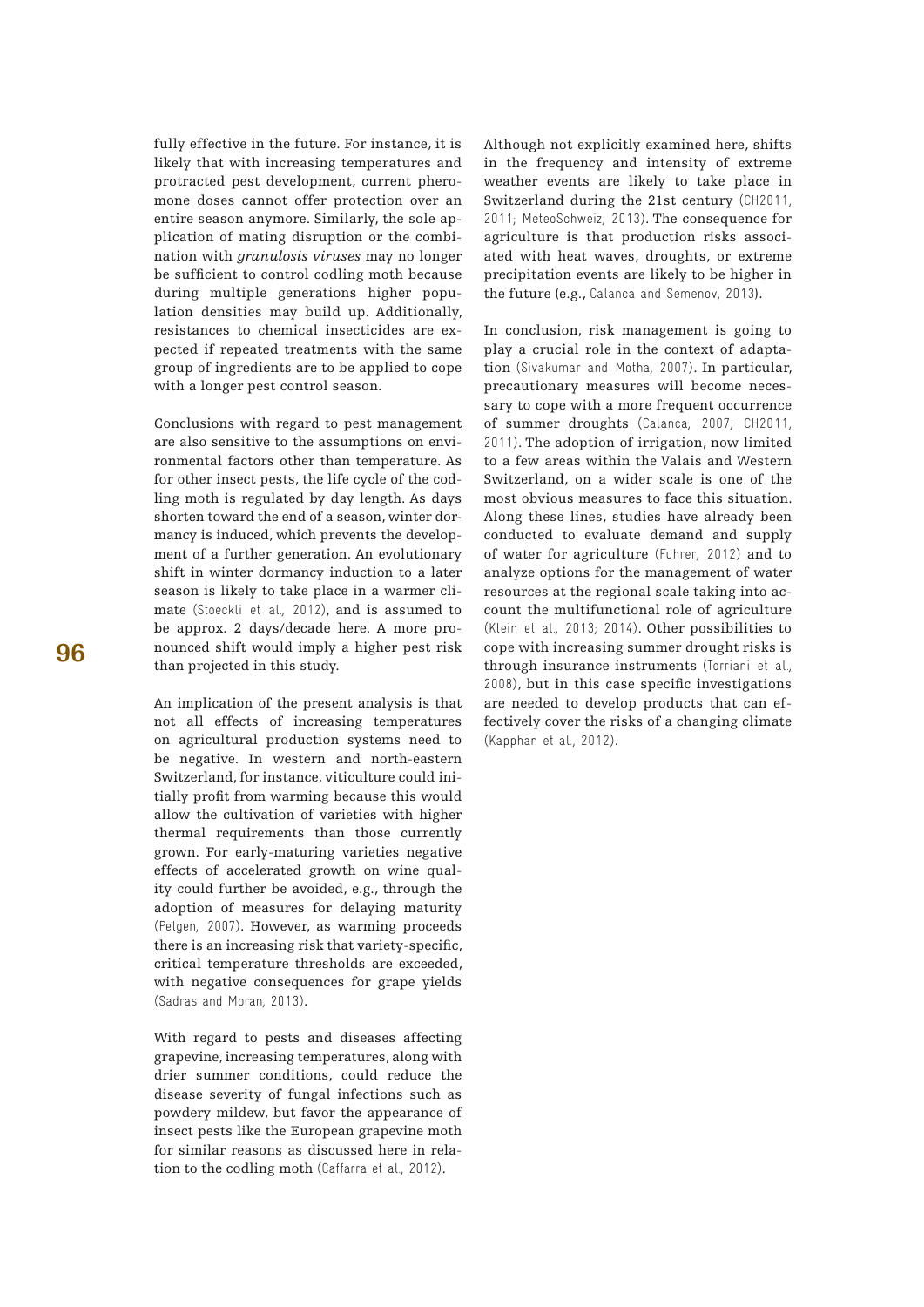fully effective in the future. For instance, it is likely that with increasing temperatures and protracted pest development, current pheromone doses cannot offer protection over an entire season anymore. Similarly, the sole application of mating disruption or the combination with *granulosis viruses* may no longer be sufficient to control codling moth because during multiple generations higher population densities may build up. Additionally, resistances to chemical insecticides are expected if repeated treatments with the same group of ingredients are to be applied to cope with a longer pest control season.

Conclusions with regard to pest management are also sensitive to the assumptions on environmental factors other than temperature. As for other insect pests, the life cycle of the codling moth is regulated by day length. As days shorten toward the end of a season, winter dormancy is induced, which prevents the development of a further generation. An evolutionary shift in winter dormancy induction to a later season is likely to take place in a warmer climate (Stoeckli et al., 2012), and is assumed to be approx. 2 days/decade here. A more pronounced shift would imply a higher pest risk than projected in this study.

An implication of the present analysis is that not all effects of increasing temperatures on agricultural production systems need to be negative. In western and north-eastern Switzerland, for instance, viticulture could initially profit from warming because this would allow the cultivation of varieties with higher thermal requirements than those currently grown. For early-maturing varieties negative effects of accelerated growth on wine quality could further be avoided, e.g., through the adoption of measures for delaying maturity (Petgen, 2007). However, as warming proceeds there is an increasing risk that variety-specific, critical temperature thresholds are exceeded, with negative consequences for grape yields (Sadras and Moran, 2013).

With regard to pests and diseases affecting grapevine, increasing temperatures, along with drier summer conditions, could reduce the disease severity of fungal infections such as powdery mildew, but favor the appearance of insect pests like the European grapevine moth for similar reasons as discussed here in relation to the codling moth (Caffarra et al., 2012).

Although not explicitly examined here, shifts in the frequency and intensity of extreme weather events are likely to take place in Switzerland during the 21st century (CH2011, 2011; MeteoSchweiz, 2013). The consequence for agriculture is that production risks associated with heat waves, droughts, or extreme precipitation events are likely to be higher in the future (e.g., Calanca and Semenov, 2013).

In conclusion, risk management is going to play a crucial role in the context of adaptation (Sivakumar and Motha, 2007). In particular, precautionary measures will become necessary to cope with a more frequent occurrence of summer droughts (Calanca, 2007; CH2011, 2011). The adoption of irrigation, now limited to a few areas within the Valais and Western Switzerland, on a wider scale is one of the most obvious measures to face this situation. Along these lines, studies have already been conducted to evaluate demand and supply of water for agriculture (Fuhrer, 2012) and to analyze options for the management of water resources at the regional scale taking into account the multifunctional role of agriculture (Klein et al., 2013; 2014). Other possibilities to cope with increasing summer drought risks is through insurance instruments (Torriani et al., 2008), but in this case specific investigations are needed to develop products that can effectively cover the risks of a changing climate (Kapphan et al., 2012).